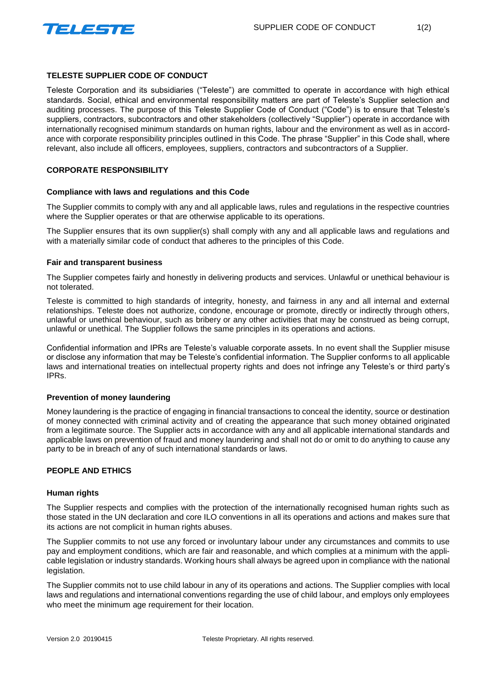

# **TELESTE SUPPLIER CODE OF CONDUCT**

Teleste Corporation and its subsidiaries ("Teleste") are committed to operate in accordance with high ethical standards. Social, ethical and environmental responsibility matters are part of Teleste's Supplier selection and auditing processes. The purpose of this Teleste Supplier Code of Conduct ("Code") is to ensure that Teleste's suppliers, contractors, subcontractors and other stakeholders (collectively "Supplier") operate in accordance with internationally recognised minimum standards on human rights, labour and the environment as well as in accordance with corporate responsibility principles outlined in this Code. The phrase "Supplier" in this Code shall, where relevant, also include all officers, employees, suppliers, contractors and subcontractors of a Supplier.

# **CORPORATE RESPONSIBILITY**

## **Compliance with laws and regulations and this Code**

The Supplier commits to comply with any and all applicable laws, rules and regulations in the respective countries where the Supplier operates or that are otherwise applicable to its operations.

The Supplier ensures that its own supplier(s) shall comply with any and all applicable laws and regulations and with a materially similar code of conduct that adheres to the principles of this Code.

## **Fair and transparent business**

The Supplier competes fairly and honestly in delivering products and services. Unlawful or unethical behaviour is not tolerated.

Teleste is committed to high standards of integrity, honesty, and fairness in any and all internal and external relationships. Teleste does not authorize, condone, encourage or promote, directly or indirectly through others, unlawful or unethical behaviour, such as bribery or any other activities that may be construed as being corrupt, unlawful or unethical. The Supplier follows the same principles in its operations and actions.

Confidential information and IPRs are Teleste's valuable corporate assets. In no event shall the Supplier misuse or disclose any information that may be Teleste's confidential information. The Supplier conforms to all applicable laws and international treaties on intellectual property rights and does not infringe any Teleste's or third party's IPRs.

## **Prevention of money laundering**

Money laundering is the practice of engaging in financial transactions to conceal the identity, source or destination of money connected with criminal activity and of creating the appearance that such money obtained originated from a legitimate source. The Supplier acts in accordance with any and all applicable international standards and applicable laws on prevention of fraud and money laundering and shall not do or omit to do anything to cause any party to be in breach of any of such international standards or laws.

## **PEOPLE AND ETHICS**

#### **Human rights**

The Supplier respects and complies with the protection of the internationally recognised human rights such as those stated in the UN declaration and core ILO conventions in all its operations and actions and makes sure that its actions are not complicit in human rights abuses.

The Supplier commits to not use any forced or involuntary labour under any circumstances and commits to use pay and employment conditions, which are fair and reasonable, and which complies at a minimum with the applicable legislation or industry standards. Working hours shall always be agreed upon in compliance with the national legislation.

The Supplier commits not to use child labour in any of its operations and actions. The Supplier complies with local laws and regulations and international conventions regarding the use of child labour, and employs only employees who meet the minimum age requirement for their location.